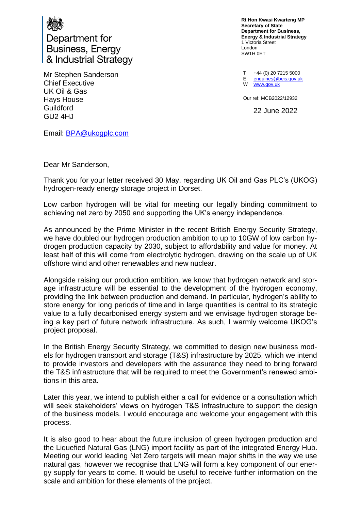

Department for **Business, Energy** & Industrial Strategy

Mr Stephen Sanderson Chief Executive UK Oil & Gas Hays House **Guildford** GU2 4HJ

**Rt Hon Kwasi Kwarteng MP Secretary of State Department for Business, Energy & Industrial Strategy** 1 Victoria Street London SW1H 0ET

T +44 (0) 20 7215 5000 E W [www.gov.uk](http://www.gov.uk/) [enquiries@beis.gov.uk](mailto:enquiries@beis.gov.uk) 

Our ref: MCB2022/12932

22 June 2022

Email: [BPA@ukogplc.com](mailto:BPA@ukogplc.com)

Dear Mr Sanderson,

Thank you for your letter received 30 May, regarding UK Oil and Gas PLC's (UKOG) hydrogen-ready energy storage project in Dorset.

Low carbon hydrogen will be vital for meeting our legally binding commitment to achieving net zero by 2050 and supporting the UK's energy independence.

As announced by the Prime Minister in the recent British Energy Security Strategy, we have doubled our hydrogen production ambition to up to 10GW of low carbon hydrogen production capacity by 2030, subject to affordability and value for money. At least half of this will come from electrolytic hydrogen, drawing on the scale up of UK offshore wind and other renewables and new nuclear.

Alongside raising our production ambition, we know that hydrogen network and storage infrastructure will be essential to the development of the hydrogen economy, providing the link between production and demand. In particular, hydrogen's ability to store energy for long periods of time and in large quantities is central to its strategic value to a fully decarbonised energy system and we envisage hydrogen storage being a key part of future network infrastructure. As such, I warmly welcome UKOG's project proposal.

In the British Energy Security Strategy, we committed to design new business models for hydrogen transport and storage (T&S) infrastructure by 2025, which we intend to provide investors and developers with the assurance they need to bring forward the T&S infrastructure that will be required to meet the Government's renewed ambitions in this area.

Later this year, we intend to publish either a call for evidence or a consultation which will seek stakeholders' views on hydrogen T&S infrastructure to support the design of the business models. I would encourage and welcome your engagement with this process.

It is also good to hear about the future inclusion of green hydrogen production and the Liquefied Natural Gas (LNG) import facility as part of the integrated Energy Hub. Meeting our world leading Net Zero targets will mean major shifts in the way we use natural gas, however we recognise that LNG will form a key component of our energy supply for years to come. It would be useful to receive further information on the scale and ambition for these elements of the project.